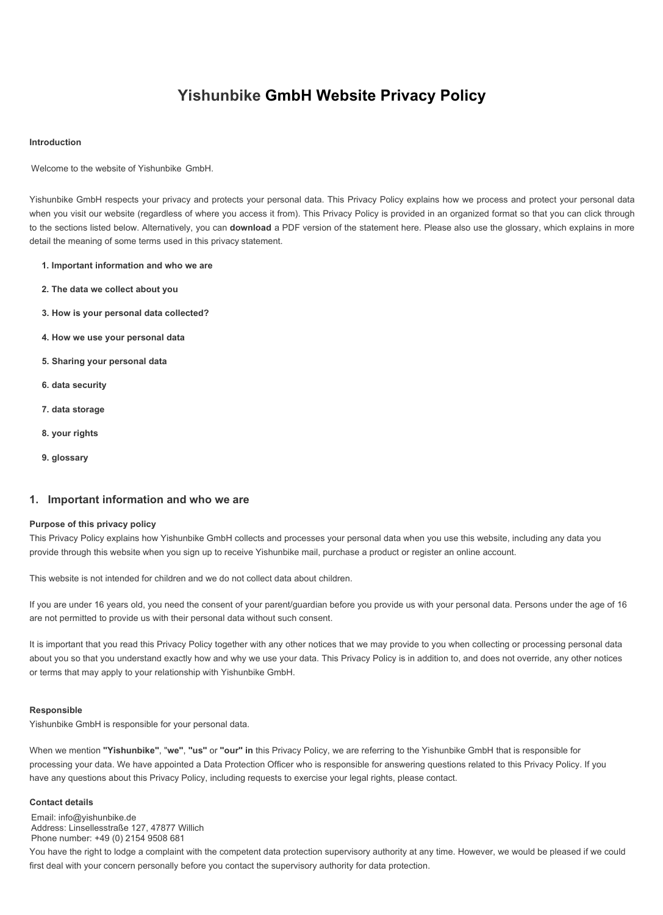# **Yishunbike GmbH Website Privacy Policy**

## **Introduction**

Welcome to the website of Yishunbike GmbH.

Yishunbike GmbH respects your privacy and protects your personal data. This Privacy Policy explains how we process and protect your personal data when you visit our website (regardless of where you access it from). This Privacy Policy is provided in an organized format so that you can click through to the sections listed below. Alternatively, you can **download** a PDF version of the statement here. Please also use the glossary, which explains in more detail the meaning of some terms used in this privacy statement.

- **1. Important information and who we are**
- **2. The data we collect about you**
- **3. How is your personal data collected?**
- **4. How we use your personal data**
- **5. Sharing your personal data**
- **6. data security**
- **7. data storage**
- **8. your rights**
- **9. glossary**

# **1. Important information and who we are**

## **Purpose of this privacy policy**

This Privacy Policy explains how Yishunbike GmbH collects and processes your personal data when you use this website, including any data you provide through this website when you sign up to receive Yishunbike mail, purchase a product or register an online account.

This website is not intended for children and we do not collect data about children.

If you are under 16 years old, you need the consent of your parent/guardian before you provide us with your personal data. Persons under the age of 16 are not permitted to provide us with their personal data without such consent.

It is important that you read this Privacy Policy together with any other notices that we may provide to you when collecting or processing personal data about you so that you understand exactly how and why we use your data. This Privacy Policy is in addition to, and does not override, any other notices or terms that may apply to your relationship with Yishunbike GmbH.

## **Responsible**

Yishunbike GmbH is responsible for your personal data.

When we mention **"Yishunbike"**, "**we"**, **"us"** or **"our" in** this Privacy Policy, we are referring to the Yishunbike GmbH that is responsible for processing your data. We have appointed a Data Protection Officer who is responsible for answering questions related to this Privacy Policy. If you have any questions about this Privacy Policy, including requests to exercise your legal rights, please contact.

#### **Contact details**

Email: info@yishunbike.de Address: Linsellesstraße 127, 47877 Willich Phone number: +49 (0) 2154 9508 681

You have the right to lodge a complaint with the competent data protection supervisory authority at any time. However, we would be pleased if we could first deal with your concern personally before you contact the supervisory authority for data protection.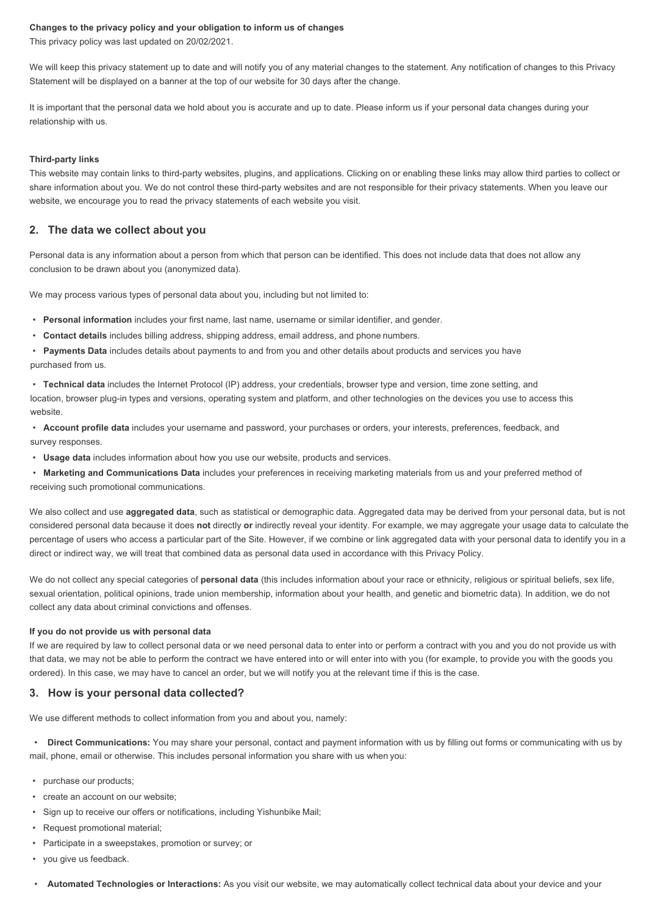#### **Changes to the privacy policy and your obligation to inform us of changes**

This privacy policy was last updated on 20/02/2021.

We will keep this privacy statement up to date and will notify you of any material changes to the statement. Any notification of changes to this Privacy Statement will be displayed on a banner at the top of our website for 30 days after the change.

It is important that the personal data we hold about you is accurate and up to date. Please inform us if your personal data changes during your relationship with us.

#### **Third-party links**

This website may contain links to third-party websites, plugins, and applications. Clicking on or enabling these links may allow third parties to collect or share information about you. We do not control these third-party websites and are not responsible for their privacy statements. When you leave our website, we encourage you to read the privacy statements of each website you visit.

# **2. The data we collect about you**

Personal data is any information about a person from which that person can be identified. This does not include data that does not allow any conclusion to be drawn about you (anonymized data).

We may process various types of personal data about you, including but not limited to:

- **Personal information** includes your first name, last name, username or similar identifier, and gender.
- **Contact details** includes billing address, shipping address, email address, and phone numbers.
- **Payments Data** includes details about payments to and from you and other details about products and services you have purchased from us.

• **Technical data** includes the Internet Protocol (IP) address, your credentials, browser type and version, time zone setting, and location, browser plug-in types and versions, operating system and platform, and other technologies on the devices you use to access this website.

• **Account profile data** includes your username and password, your purchases or orders, your interests, preferences, feedback, and survey responses.

• **Usage data** includes information about how you use our website, products and services.

• **Marketing and Communications Data** includes your preferences in receiving marketing materials from us and your preferred method of receiving such promotional communications.

We also collect and use **aggregated data**, such as statistical or demographic data. Aggregated data may be derived from your personal data, but is not considered personal data because it does **not** directly **or** indirectly reveal your identity. For example, we may aggregate your usage data to calculate the percentage of users who access a particular part of the Site. However, if we combine or link aggregated data with your personal data to identify you in a direct or indirect way, we will treat that combined data as personal data used in accordance with this Privacy Policy.

We do not collect any special categories of **personal data** (this includes information about your race or ethnicity, religious or spiritual beliefs, sex life, sexual orientation, political opinions, trade union membership, information about your health, and genetic and biometric data). In addition, we do not collect any data about criminal convictions and offenses.

## **If you do not provide us with personal data**

If we are required by law to collect personal data or we need personal data to enter into or perform a contract with you and you do not provide us with that data, we may not be able to perform the contract we have entered into or will enter into with you (for example, to provide you with the goods you ordered). In this case, we may have to cancel an order, but we will notify you at the relevant time if this is the case.

# **3. How is your personal data collected?**

We use different methods to collect information from you and about you, namely:

• **Direct Communications:** You may share your personal, contact and payment information with us by filling out forms or communicating with us by mail, phone, email or otherwise. This includes personal information you share with us when you:

- purchase our products;
- create an account on our website;
- Sign up to receive our offers or notifications, including Yishunbike Mail;
- Request promotional material;
- Participate in a sweepstakes, promotion or survey; or
- you give us feedback.
- **Automated Technologies or Interactions:** As you visit our website, we may automatically collect technical data about your device and your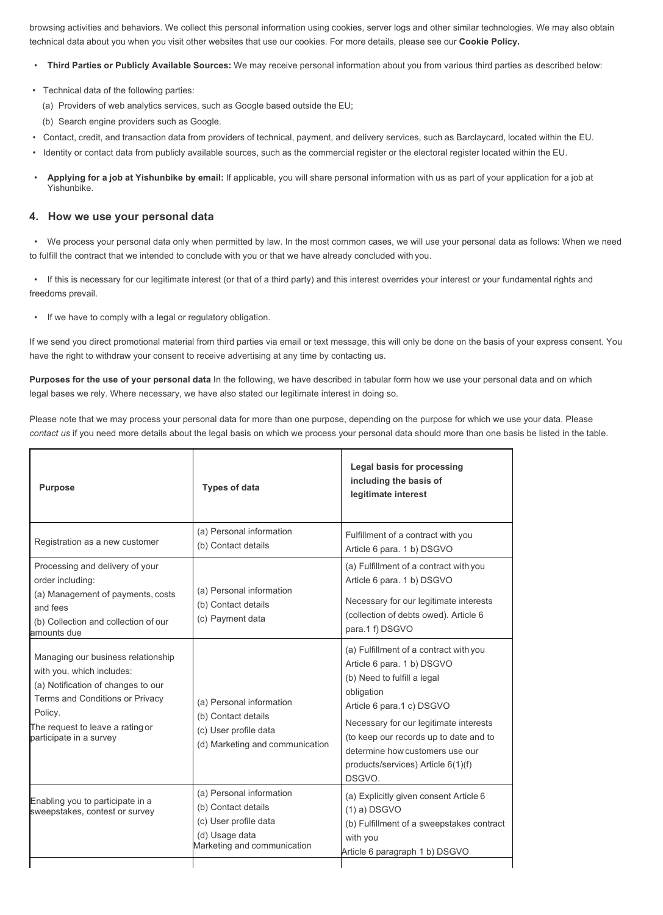browsing activities and behaviors. We collect this personal information using cookies, server logs and other similar technologies. We may also obtain technical data about you when you visit other websites that use our cookies. For more details, please see our **Cookie Policy.**

- **Third Parties or Publicly Available Sources:** We may receive personal information about you from various third parties as described below:
- Technical data of the following parties:
	- (a) Providers of web analytics services, such as Google based outside the EU;
	- (b) Search engine providers such as Google.
- Contact, credit, and transaction data from providers of technical, payment, and delivery services, such as Barclaycard, located within the EU.
- Identity or contact data from publicly available sources, such as the commercial register or the electoral register located within the EU.
- **Applying for a job at Yishunbike by email:** If applicable, you will share personal information with us as part of your application for a job at Yishunbike.

# **4. How we use your personal data**

• We process your personal data only when permitted by law. In the most common cases, we will use your personal data as follows: When we need to fulfill the contract that we intended to conclude with you or that we have already concluded with you.

• If this is necessary for our legitimate interest (or that of a third party) and this interest overrides your interest or your fundamental rights and freedoms prevail.

If we have to comply with a legal or regulatory obligation.

If we send you direct promotional material from third parties via email or text message, this will only be done on the basis of your express consent. You have the right to withdraw your consent to receive advertising at any time by contacting us.

**Purposes for the use of your personal data** In the following, we have described in tabular form how we use your personal data and on which legal bases we rely. Where necessary, we have also stated our legitimate interest in doing so.

Please note that we may process your personal data for more than one purpose, depending on the purpose for which we use your data. Please *contact us* if you need more details about the legal basis on which we process your personal data should more than one basis be listed in the table.

| <b>Purpose</b>                                                                                                                                                                                                     | <b>Types of data</b>                                                                                                      | Legal basis for processing<br>including the basis of<br>legitimate interest                                                                                                                                                                                                                                           |
|--------------------------------------------------------------------------------------------------------------------------------------------------------------------------------------------------------------------|---------------------------------------------------------------------------------------------------------------------------|-----------------------------------------------------------------------------------------------------------------------------------------------------------------------------------------------------------------------------------------------------------------------------------------------------------------------|
| Registration as a new customer                                                                                                                                                                                     | (a) Personal information<br>(b) Contact details                                                                           | Fulfillment of a contract with you<br>Article 6 para. 1 b) DSGVO                                                                                                                                                                                                                                                      |
| Processing and delivery of your<br>order including:<br>(a) Management of payments, costs<br>and fees<br>(b) Collection and collection of our<br>amounts due                                                        | (a) Personal information<br>(b) Contact details<br>(c) Payment data                                                       | (a) Fulfillment of a contract with you<br>Article 6 para. 1 b) DSGVO<br>Necessary for our legitimate interests<br>(collection of debts owed). Article 6<br>para.1 f) DSGVO                                                                                                                                            |
| Managing our business relationship<br>with you, which includes:<br>(a) Notification of changes to our<br>Terms and Conditions or Privacy<br>Policy.<br>The request to leave a rating or<br>participate in a survey | (a) Personal information<br>(b) Contact details<br>(c) User profile data<br>(d) Marketing and communication               | (a) Fulfillment of a contract with you<br>Article 6 para. 1 b) DSGVO<br>(b) Need to fulfill a legal<br>obligation<br>Article 6 para.1 c) DSGVO<br>Necessary for our legitimate interests<br>(to keep our records up to date and to<br>determine how customers use our<br>products/services) Article 6(1)(f)<br>DSGVO. |
| Enabling you to participate in a<br>sweepstakes, contest or survey                                                                                                                                                 | (a) Personal information<br>(b) Contact details<br>(c) User profile data<br>(d) Usage data<br>Marketing and communication | (a) Explicitly given consent Article 6<br>$(1)$ a) DSGVO<br>(b) Fulfillment of a sweepstakes contract<br>with you<br>Article 6 paragraph 1 b) DSGVO                                                                                                                                                                   |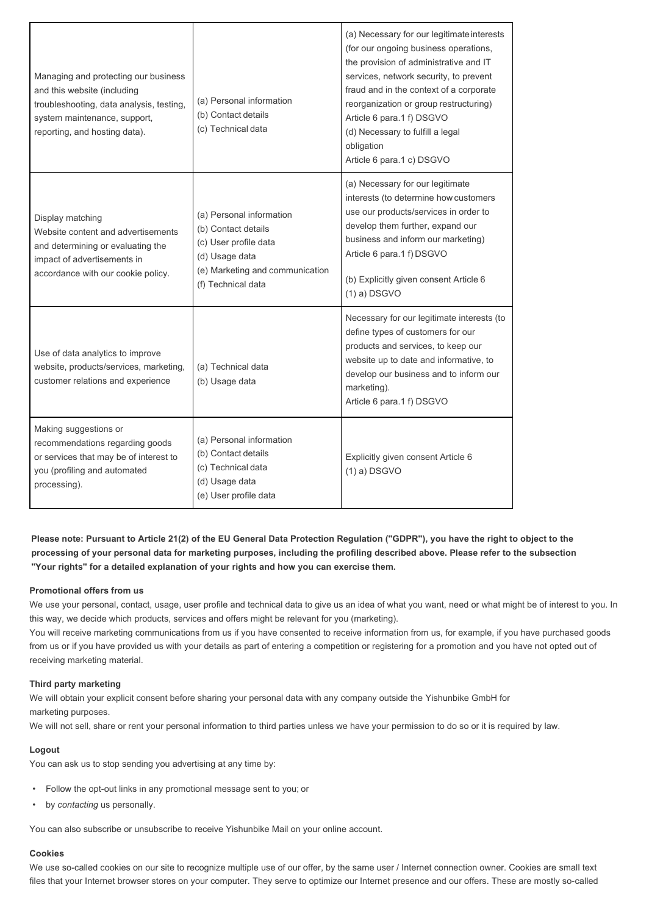| Managing and protecting our business<br>and this website (including<br>troubleshooting, data analysis, testing,<br>system maintenance, support,<br>reporting, and hosting data). | (a) Personal information<br>(b) Contact details<br>(c) Technical data                                                                               | (a) Necessary for our legitimate interests<br>(for our ongoing business operations,<br>the provision of administrative and IT<br>services, network security, to prevent<br>fraud and in the context of a corporate<br>reorganization or group restructuring)<br>Article 6 para.1 f) DSGVO<br>(d) Necessary to fulfill a legal<br>obligation<br>Article 6 para.1 c) DSGVO |
|----------------------------------------------------------------------------------------------------------------------------------------------------------------------------------|-----------------------------------------------------------------------------------------------------------------------------------------------------|--------------------------------------------------------------------------------------------------------------------------------------------------------------------------------------------------------------------------------------------------------------------------------------------------------------------------------------------------------------------------|
| Display matching<br>Website content and advertisements<br>and determining or evaluating the<br>impact of advertisements in<br>accordance with our cookie policy.                 | (a) Personal information<br>(b) Contact details<br>(c) User profile data<br>(d) Usage data<br>(e) Marketing and communication<br>(f) Technical data | (a) Necessary for our legitimate<br>interests (to determine how customers<br>use our products/services in order to<br>develop them further, expand our<br>business and inform our marketing)<br>Article 6 para.1 f) DSGVO<br>(b) Explicitly given consent Article 6<br>$(1)$ a) DSGVO                                                                                    |
| Use of data analytics to improve<br>website, products/services, marketing,<br>customer relations and experience                                                                  | (a) Technical data<br>(b) Usage data                                                                                                                | Necessary for our legitimate interests (to<br>define types of customers for our<br>products and services, to keep our<br>website up to date and informative, to<br>develop our business and to inform our<br>marketing).<br>Article 6 para.1 f) DSGVO                                                                                                                    |
| Making suggestions or<br>recommendations regarding goods<br>or services that may be of interest to<br>you (profiling and automated<br>processing).                               | (a) Personal information<br>(b) Contact details<br>(c) Technical data<br>(d) Usage data<br>(e) User profile data                                    | Explicitly given consent Article 6<br>$(1)$ a) DSGVO                                                                                                                                                                                                                                                                                                                     |

**Please note: Pursuant to Article 21(2) of the EU General Data Protection Regulation ("GDPR"), you have the right to object to the processing of your personal data for marketing purposes, including the profiling described above. Please refer to the subsection "Your rights" for a detailed explanation of your rights and how you can exercise them.**

# **Promotional offers from us**

We use your personal, contact, usage, user profile and technical data to give us an idea of what you want, need or what might be of interest to you. In this way, we decide which products, services and offers might be relevant for you (marketing).

You will receive marketing communications from us if you have consented to receive information from us, for example, if you have purchased goods from us or if you have provided us with your details as part of entering a competition or registering for a promotion and you have not opted out of receiving marketing material.

# **Third party marketing**

We will obtain your explicit consent before sharing your personal data with any company outside the Yishunbike GmbH for marketing purposes.

We will not sell, share or rent your personal information to third parties unless we have your permission to do so or it is required by law.

# **Logout**

You can ask us to stop sending you advertising at any time by:

- Follow the opt-out links in any promotional message sent to you; or
- by *contacting* us personally.

You can also subscribe or unsubscribe to receive Yishunbike Mail on your online account.

# **Cookies**

We use so-called cookies on our site to recognize multiple use of our offer, by the same user / Internet connection owner. Cookies are small text files that your Internet browser stores on your computer. They serve to optimize our Internet presence and our offers. These are mostly so-called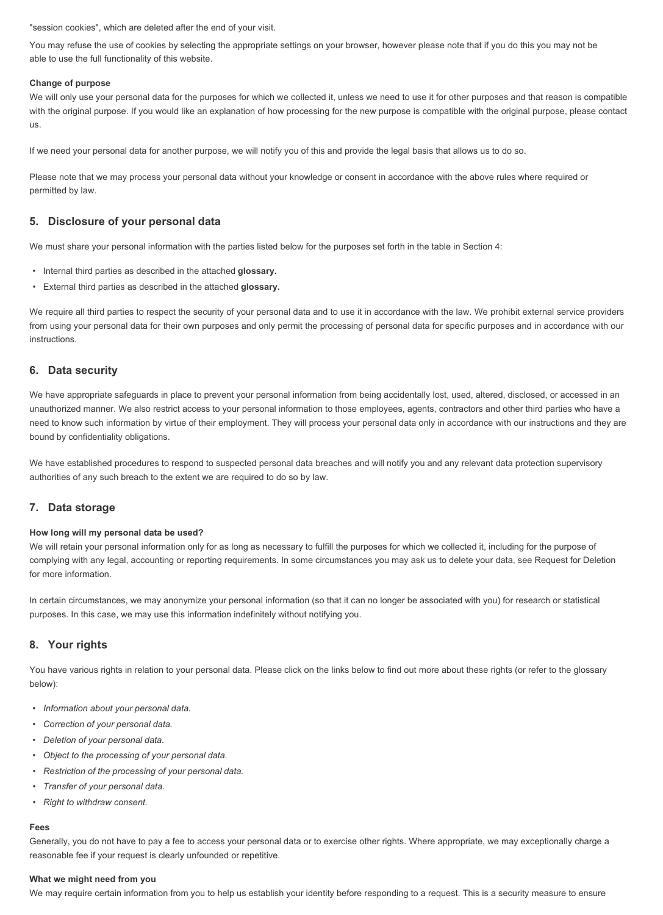"session cookies", which are deleted after the end of your visit.

You may refuse the use of cookies by selecting the appropriate settings on your browser, however please note that if you do this you may not be able to use the full functionality of this website.

## **Change of purpose**

We will only use your personal data for the purposes for which we collected it, unless we need to use it for other purposes and that reason is compatible with the original purpose. If you would like an explanation of how processing for the new purpose is compatible with the original purpose, please contact us.

If we need your personal data for another purpose, we will notify you of this and provide the legal basis that allows us to do so.

Please note that we may process your personal data without your knowledge or consent in accordance with the above rules where required or permitted by law.

# **5. Disclosure of your personal data**

We must share your personal information with the parties listed below for the purposes set forth in the table in Section 4:

- Internal third parties as described in the attached **glossary.**
- External third parties as described in the attached **glossary.**

We require all third parties to respect the security of your personal data and to use it in accordance with the law. We prohibit external service providers from using your personal data for their own purposes and only permit the processing of personal data for specific purposes and in accordance with our instructions.

# **6. Data security**

We have appropriate safeguards in place to prevent your personal information from being accidentally lost, used, altered, disclosed, or accessed in an unauthorized manner. We also restrict access to your personal information to those employees, agents, contractors and other third parties who have a need to know such information by virtue of their employment. They will process your personal data only in accordance with our instructions and they are bound by confidentiality obligations.

We have established procedures to respond to suspected personal data breaches and will notify you and any relevant data protection supervisory authorities of any such breach to the extent we are required to do so by law.

# **7. Data storage**

#### **How long will my personal data be used?**

We will retain your personal information only for as long as necessary to fulfill the purposes for which we collected it, including for the purpose of complying with any legal, accounting or reporting requirements. In some circumstances you may ask us to delete your data, see Request for Deletion for more information.

In certain circumstances, we may anonymize your personal information (so that it can no longer be associated with you) for research or statistical purposes. In this case, we may use this information indefinitely without notifying you.

# **8. Your rights**

You have various rights in relation to your personal data. Please click on the links below to find out more about these rights (or refer to the glossary below):

- *Information about your personal data.*
- *Correction of your personal data.*
- *Deletion of your personal data.*
- *Object to the processing of your personal data.*
- *Restriction of the processing of your personal data.*
- *Transfer of your personal data.*
- *Right to withdraw consent.*

#### **Fees**

Generally, you do not have to pay a fee to access your personal data or to exercise other rights. Where appropriate, we may exceptionally charge a reasonable fee if your request is clearly unfounded or repetitive.

## **What we might need from you**

We may require certain information from you to help us establish your identity before responding to a request. This is a security measure to ensure